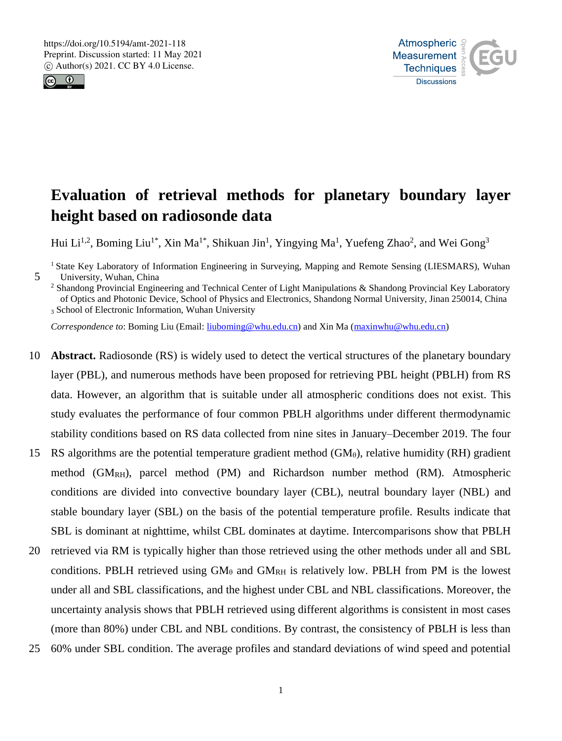



# **Evaluation of retrieval methods for planetary boundary layer height based on radiosonde data**

Hui Li<sup>1,2</sup>, Boming Liu<sup>1\*</sup>, Xin Ma<sup>1\*</sup>, Shikuan Jin<sup>1</sup>, Yingying Ma<sup>1</sup>, Yuefeng Zhao<sup>2</sup>, and Wei Gong<sup>3</sup>

<sup>1</sup> State Key Laboratory of Information Engineering in Surveying, Mapping and Remote Sensing (LIESMARS), Wuhan 5 University, Wuhan, China

<sup>2</sup> Shandong Provincial Engineering and Technical Center of Light Manipulations & Shandong Provincial Key Laboratory of Optics and Photonic Device, School of Physics and Electronics, Shandong Normal University, Jinan 250014, China <sup>3</sup> School of Electronic Information, Wuhan University

*Correspondence to*: Boming Liu (Email: liuboming@whu.edu.cn) and Xin Ma (maxinwhu@whu.edu.cn)

- 10 **Abstract.** Radiosonde (RS) is widely used to detect the vertical structures of the planetary boundary layer (PBL), and numerous methods have been proposed for retrieving PBL height (PBLH) from RS data. However, an algorithm that is suitable under all atmospheric conditions does not exist. This study evaluates the performance of four common PBLH algorithms under different thermodynamic stability conditions based on RS data collected from nine sites in January–December 2019. The four
- 15 RS algorithms are the potential temperature gradient method  $(GM_{\theta})$ , relative humidity (RH) gradient method (GM<sub>RH</sub>), parcel method (PM) and Richardson number method (RM). Atmospheric conditions are divided into convective boundary layer (CBL), neutral boundary layer (NBL) and stable boundary layer (SBL) on the basis of the potential temperature profile. Results indicate that SBL is dominant at nighttime, whilst CBL dominates at daytime. Intercomparisons show that PBLH
- 20 retrieved via RM is typically higher than those retrieved using the other methods under all and SBL conditions. PBLH retrieved using  $GM_\theta$  and  $GM_{RH}$  is relatively low. PBLH from PM is the lowest under all and SBL classifications, and the highest under CBL and NBL classifications. Moreover, the uncertainty analysis shows that PBLH retrieved using different algorithms is consistent in most cases (more than 80%) under CBL and NBL conditions. By contrast, the consistency of PBLH is less than
- 25 60% under SBL condition. The average profiles and standard deviations of wind speed and potential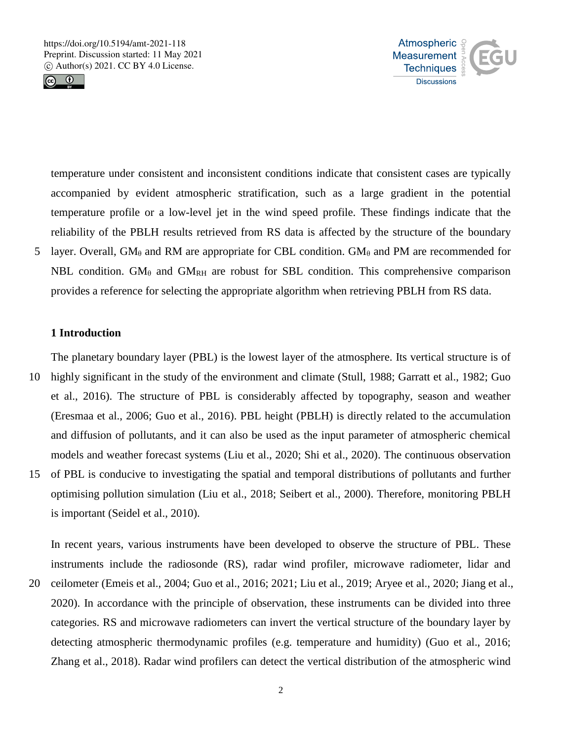



temperature under consistent and inconsistent conditions indicate that consistent cases are typically accompanied by evident atmospheric stratification, such as a large gradient in the potential temperature profile or a low-level jet in the wind speed profile. These findings indicate that the reliability of the PBLH results retrieved from RS data is affected by the structure of the boundary 5 layer. Overall, GM<sub> $\theta$ </sub> and RM are appropriate for CBL condition. GM $_{\theta}$  and PM are recommended for NBL condition.  $GM_{\theta}$  and  $GM_{RH}$  are robust for SBL condition. This comprehensive comparison provides a reference for selecting the appropriate algorithm when retrieving PBLH from RS data.

### **1 Introduction**

The planetary boundary layer (PBL) is the lowest layer of the atmosphere. Its vertical structure is of

- 10 highly significant in the study of the environment and climate (Stull, 1988; Garratt et al., 1982; Guo et al., 2016). The structure of PBL is considerably affected by topography, season and weather (Eresmaa et al., 2006; Guo et al., 2016). PBL height (PBLH) is directly related to the accumulation and diffusion of pollutants, and it can also be used as the input parameter of atmospheric chemical models and weather forecast systems (Liu et al., 2020; Shi et al., 2020). The continuous observation 15 of PBL is conducive to investigating the spatial and temporal distributions of pollutants and further optimising pollution simulation (Liu et al., 2018; Seibert et al., 2000). Therefore, monitoring PBLH
	- is important (Seidel et al., 2010).

In recent years, various instruments have been developed to observe the structure of PBL. These instruments include the radiosonde (RS), radar wind profiler, microwave radiometer, lidar and

20 ceilometer (Emeis et al., 2004; Guo et al., 2016; 2021; Liu et al., 2019; Aryee et al., 2020; Jiang et al., 2020). In accordance with the principle of observation, these instruments can be divided into three categories. RS and microwave radiometers can invert the vertical structure of the boundary layer by detecting atmospheric thermodynamic profiles (e.g. temperature and humidity) (Guo et al., 2016; Zhang et al., 2018). Radar wind profilers can detect the vertical distribution of the atmospheric wind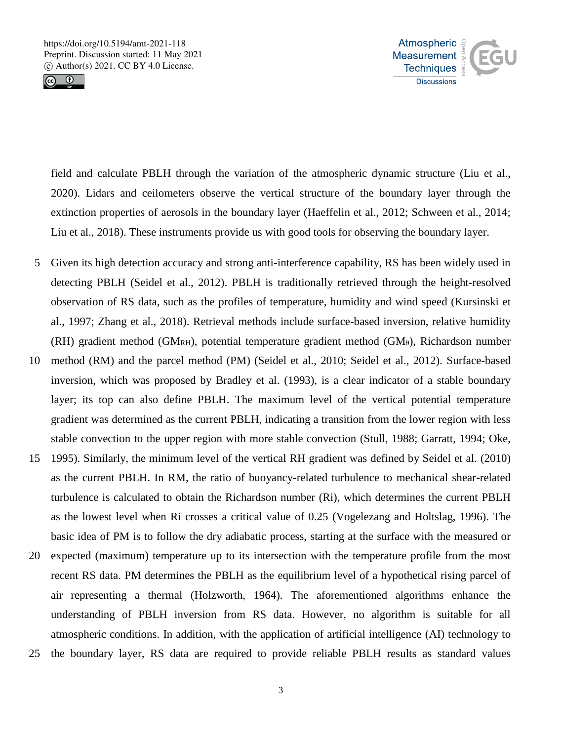



field and calculate PBLH through the variation of the atmospheric dynamic structure (Liu et al., 2020). Lidars and ceilometers observe the vertical structure of the boundary layer through the extinction properties of aerosols in the boundary layer (Haeffelin et al., 2012; Schween et al., 2014; Liu et al., 2018). These instruments provide us with good tools for observing the boundary layer.

- 5 Given its high detection accuracy and strong anti-interference capability, RS has been widely used in detecting PBLH (Seidel et al., 2012). PBLH is traditionally retrieved through the height-resolved observation of RS data, such as the profiles of temperature, humidity and wind speed (Kursinski et al., 1997; Zhang et al., 2018). Retrieval methods include surface-based inversion, relative humidity (RH) gradient method (GMRH), potential temperature gradient method (GM $_{\theta}$ ), Richardson number
- 10 method (RM) and the parcel method (PM) (Seidel et al., 2010; Seidel et al., 2012). Surface-based inversion, which was proposed by Bradley et al. (1993), is a clear indicator of a stable boundary layer; its top can also define PBLH. The maximum level of the vertical potential temperature gradient was determined as the current PBLH, indicating a transition from the lower region with less stable convection to the upper region with more stable convection (Stull, 1988; Garratt, 1994; Oke,
- 15 1995). Similarly, the minimum level of the vertical RH gradient was defined by Seidel et al. (2010) as the current PBLH. In RM, the ratio of buoyancy-related turbulence to mechanical shear-related turbulence is calculated to obtain the Richardson number (Ri), which determines the current PBLH as the lowest level when Ri crosses a critical value of 0.25 (Vogelezang and Holtslag, 1996). The basic idea of PM is to follow the dry adiabatic process, starting at the surface with the measured or
- 20 expected (maximum) temperature up to its intersection with the temperature profile from the most recent RS data. PM determines the PBLH as the equilibrium level of a hypothetical rising parcel of air representing a thermal (Holzworth, 1964). The aforementioned algorithms enhance the understanding of PBLH inversion from RS data. However, no algorithm is suitable for all atmospheric conditions. In addition, with the application of artificial intelligence (AI) technology to
- 25 the boundary layer, RS data are required to provide reliable PBLH results as standard values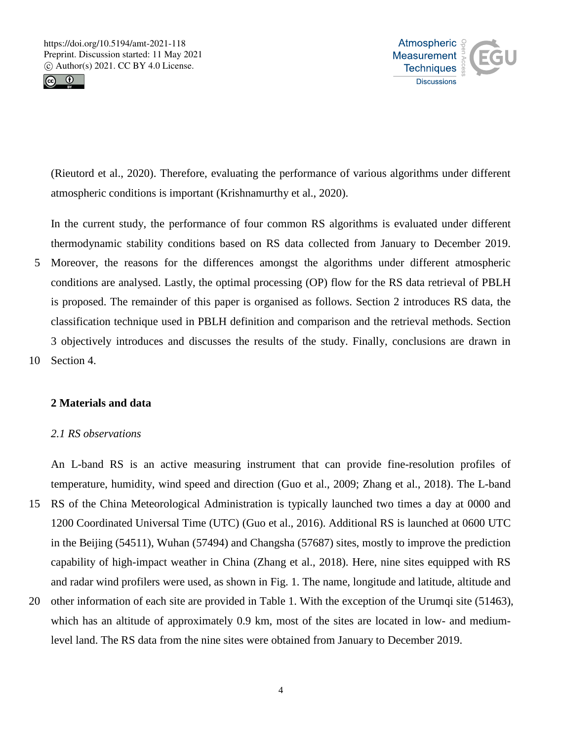



(Rieutord et al., 2020). Therefore, evaluating the performance of various algorithms under different atmospheric conditions is important (Krishnamurthy et al., 2020).

In the current study, the performance of four common RS algorithms is evaluated under different thermodynamic stability conditions based on RS data collected from January to December 2019.

5 Moreover, the reasons for the differences amongst the algorithms under different atmospheric conditions are analysed. Lastly, the optimal processing (OP) flow for the RS data retrieval of PBLH is proposed. The remainder of this paper is organised as follows. Section 2 introduces RS data, the classification technique used in PBLH definition and comparison and the retrieval methods. Section 3 objectively introduces and discusses the results of the study. Finally, conclusions are drawn in 10 Section 4.

# **2 Materials and data**

# *2.1 RS observations*

An L-band RS is an active measuring instrument that can provide fine-resolution profiles of temperature, humidity, wind speed and direction (Guo et al., 2009; Zhang et al., 2018). The L-band

- 15 RS of the China Meteorological Administration is typically launched two times a day at 0000 and 1200 Coordinated Universal Time (UTC) (Guo et al., 2016). Additional RS is launched at 0600 UTC in the Beijing (54511), Wuhan (57494) and Changsha (57687) sites, mostly to improve the prediction capability of high-impact weather in China (Zhang et al., 2018). Here, nine sites equipped with RS and radar wind profilers were used, as shown in Fig. 1. The name, longitude and latitude, altitude and
- 20 other information of each site are provided in Table 1. With the exception of the Urumqi site (51463), which has an altitude of approximately 0.9 km, most of the sites are located in low- and mediumlevel land. The RS data from the nine sites were obtained from January to December 2019.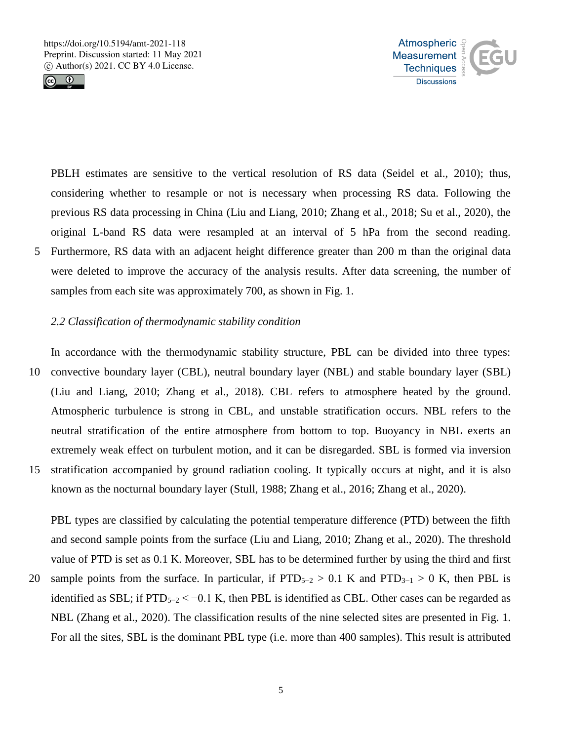



PBLH estimates are sensitive to the vertical resolution of RS data (Seidel et al., 2010); thus, considering whether to resample or not is necessary when processing RS data. Following the previous RS data processing in China (Liu and Liang, 2010; Zhang et al., 2018; Su et al., 2020), the original L-band RS data were resampled at an interval of 5 hPa from the second reading. 5 Furthermore, RS data with an adjacent height difference greater than 200 m than the original data were deleted to improve the accuracy of the analysis results. After data screening, the number of samples from each site was approximately 700, as shown in Fig. 1.

## *2.2 Classification of thermodynamic stability condition*

In accordance with the thermodynamic stability structure, PBL can be divided into three types: 10 convective boundary layer (CBL), neutral boundary layer (NBL) and stable boundary layer (SBL) (Liu and Liang, 2010; Zhang et al., 2018). CBL refers to atmosphere heated by the ground. Atmospheric turbulence is strong in CBL, and unstable stratification occurs. NBL refers to the neutral stratification of the entire atmosphere from bottom to top. Buoyancy in NBL exerts an extremely weak effect on turbulent motion, and it can be disregarded. SBL is formed via inversion 15 stratification accompanied by ground radiation cooling. It typically occurs at night, and it is also known as the nocturnal boundary layer (Stull, 1988; Zhang et al., 2016; Zhang et al., 2020).

PBL types are classified by calculating the potential temperature difference (PTD) between the fifth and second sample points from the surface (Liu and Liang, 2010; Zhang et al., 2020). The threshold value of PTD is set as 0.1 K. Moreover, SBL has to be determined further by using the third and first 20 sample points from the surface. In particular, if  $PTD_{5-2} > 0.1$  K and  $PTD_{3-1} > 0$  K, then PBL is identified as SBL; if  $PTD_{5-2} < -0.1$  K, then PBL is identified as CBL. Other cases can be regarded as NBL (Zhang et al., 2020). The classification results of the nine selected sites are presented in Fig. 1. For all the sites, SBL is the dominant PBL type (i.e. more than 400 samples). This result is attributed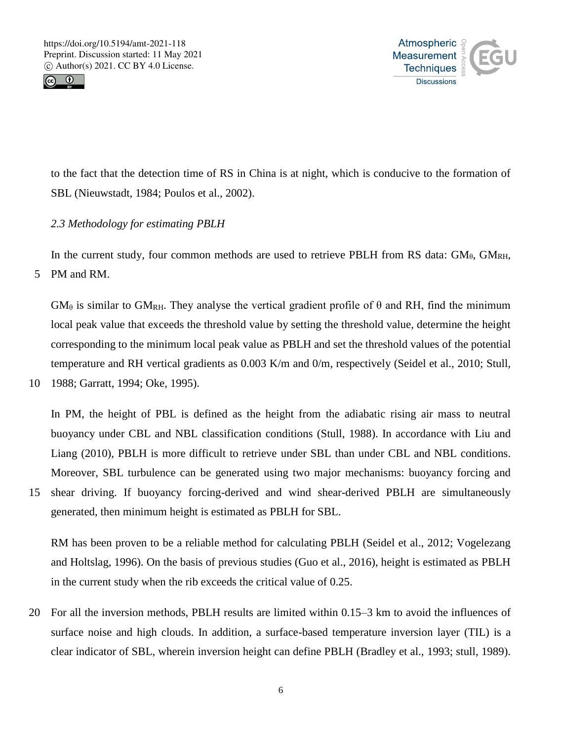



to the fact that the detection time of RS in China is at night, which is conducive to the formation of SBL (Nieuwstadt, 1984; Poulos et al., 2002).

# *2.3 Methodology for estimating PBLH*

In the current study, four common methods are used to retrieve PBLH from RS data:  $GM_{\theta}$ ,  $GM_{RH}$ ,

5 PM and RM.

 $GM_{\theta}$  is similar to  $GM_{\text{RH}}$ . They analyse the vertical gradient profile of  $\theta$  and RH, find the minimum local peak value that exceeds the threshold value by setting the threshold value, determine the height corresponding to the minimum local peak value as PBLH and set the threshold values of the potential temperature and RH vertical gradients as 0.003 K/m and 0/m, respectively (Seidel et al., 2010; Stull,

10 1988; Garratt, 1994; Oke, 1995).

In PM, the height of PBL is defined as the height from the adiabatic rising air mass to neutral buoyancy under CBL and NBL classification conditions (Stull, 1988). In accordance with Liu and Liang (2010), PBLH is more difficult to retrieve under SBL than under CBL and NBL conditions. Moreover, SBL turbulence can be generated using two major mechanisms: buoyancy forcing and

15 shear driving. If buoyancy forcing-derived and wind shear-derived PBLH are simultaneously generated, then minimum height is estimated as PBLH for SBL.

RM has been proven to be a reliable method for calculating PBLH (Seidel et al., 2012; Vogelezang and Holtslag, 1996). On the basis of previous studies (Guo et al., 2016), height is estimated as PBLH in the current study when the rib exceeds the critical value of 0.25.

20 For all the inversion methods, PBLH results are limited within 0.15–3 km to avoid the influences of surface noise and high clouds. In addition, a surface-based temperature inversion layer (TIL) is a clear indicator of SBL, wherein inversion height can define PBLH (Bradley et al., 1993; stull, 1989).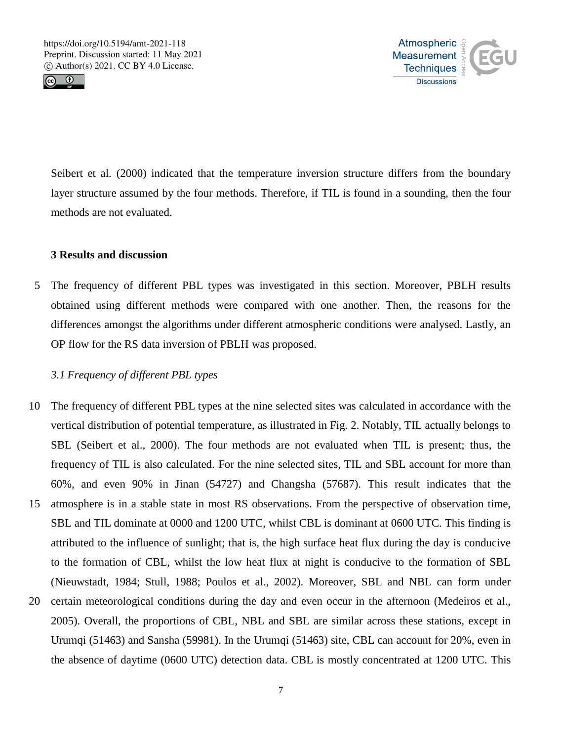



Seibert et al. (2000) indicated that the temperature inversion structure differs from the boundary layer structure assumed by the four methods. Therefore, if TIL is found in a sounding, then the four methods are not evaluated.

# **3 Results and discussion**

5 The frequency of different PBL types was investigated in this section. Moreover, PBLH results obtained using different methods were compared with one another. Then, the reasons for the differences amongst the algorithms under different atmospheric conditions were analysed. Lastly, an OP flow for the RS data inversion of PBLH was proposed.

# *3.1 Frequency of different PBL types*

10 The frequency of different PBL types at the nine selected sites was calculated in accordance with the vertical distribution of potential temperature, as illustrated in Fig. 2. Notably, TIL actually belongs to SBL (Seibert et al., 2000). The four methods are not evaluated when TIL is present; thus, the frequency of TIL is also calculated. For the nine selected sites, TIL and SBL account for more than 60%, and even 90% in Jinan (54727) and Changsha (57687). This result indicates that the 15 atmosphere is in a stable state in most RS observations. From the perspective of observation time, SBL and TIL dominate at 0000 and 1200 UTC, whilst CBL is dominant at 0600 UTC. This finding is attributed to the influence of sunlight; that is, the high surface heat flux during the day is conducive to the formation of CBL, whilst the low heat flux at night is conducive to the formation of SBL (Nieuwstadt, 1984; Stull, 1988; Poulos et al., 2002). Moreover, SBL and NBL can form under 20 certain meteorological conditions during the day and even occur in the afternoon (Medeiros et al., 2005). Overall, the proportions of CBL, NBL and SBL are similar across these stations, except in Urumqi (51463) and Sansha (59981). In the Urumqi (51463) site, CBL can account for 20%, even in the absence of daytime (0600 UTC) detection data. CBL is mostly concentrated at 1200 UTC. This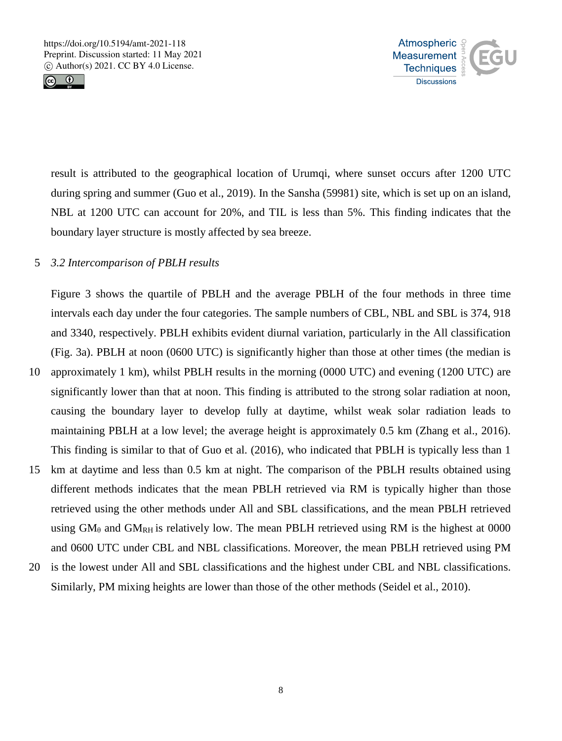



result is attributed to the geographical location of Urumqi, where sunset occurs after 1200 UTC during spring and summer (Guo et al., 2019). In the Sansha (59981) site, which is set up on an island, NBL at 1200 UTC can account for 20%, and TIL is less than 5%. This finding indicates that the boundary layer structure is mostly affected by sea breeze.

# 5 *3.2 Intercomparison of PBLH results*

Figure 3 shows the quartile of PBLH and the average PBLH of the four methods in three time intervals each day under the four categories. The sample numbers of CBL, NBL and SBL is 374, 918 and 3340, respectively. PBLH exhibits evident diurnal variation, particularly in the All classification (Fig. 3a). PBLH at noon (0600 UTC) is significantly higher than those at other times (the median is

- 10 approximately 1 km), whilst PBLH results in the morning (0000 UTC) and evening (1200 UTC) are significantly lower than that at noon. This finding is attributed to the strong solar radiation at noon, causing the boundary layer to develop fully at daytime, whilst weak solar radiation leads to maintaining PBLH at a low level; the average height is approximately 0.5 km (Zhang et al., 2016). This finding is similar to that of Guo et al. (2016), who indicated that PBLH is typically less than 1
- 15 km at daytime and less than 0.5 km at night. The comparison of the PBLH results obtained using different methods indicates that the mean PBLH retrieved via RM is typically higher than those retrieved using the other methods under All and SBL classifications, and the mean PBLH retrieved using  $GM_\theta$  and  $GM_{RH}$  is relatively low. The mean PBLH retrieved using RM is the highest at 0000 and 0600 UTC under CBL and NBL classifications. Moreover, the mean PBLH retrieved using PM
- 20 is the lowest under All and SBL classifications and the highest under CBL and NBL classifications. Similarly, PM mixing heights are lower than those of the other methods (Seidel et al., 2010).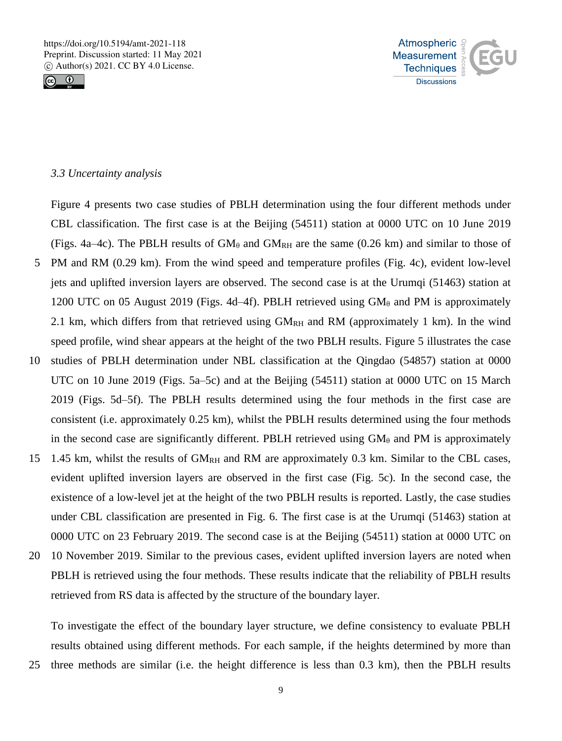



## *3.3 Uncertainty analysis*

Figure 4 presents two case studies of PBLH determination using the four different methods under CBL classification. The first case is at the Beijing (54511) station at 0000 UTC on 10 June 2019 (Figs. 4a–4c). The PBLH results of  $GM_\theta$  and  $GM_{RH}$  are the same (0.26 km) and similar to those of 5 PM and RM (0.29 km). From the wind speed and temperature profiles (Fig. 4c), evident low-level jets and uplifted inversion layers are observed. The second case is at the Urumqi (51463) station at 1200 UTC on 05 August 2019 (Figs. 4d–4f). PBLH retrieved using  $GM_\theta$  and PM is approximately 2.1 km, which differs from that retrieved using  $GM_{RH}$  and RM (approximately 1 km). In the wind speed profile, wind shear appears at the height of the two PBLH results. Figure 5 illustrates the case 10 studies of PBLH determination under NBL classification at the Qingdao (54857) station at 0000

- UTC on 10 June 2019 (Figs. 5a–5c) and at the Beijing (54511) station at 0000 UTC on 15 March 2019 (Figs. 5d–5f). The PBLH results determined using the four methods in the first case are consistent (i.e. approximately 0.25 km), whilst the PBLH results determined using the four methods in the second case are significantly different. PBLH retrieved using  $GM_\theta$  and PM is approximately
- 15 1.45 km, whilst the results of  $GM_{RH}$  and RM are approximately 0.3 km. Similar to the CBL cases, evident uplifted inversion layers are observed in the first case (Fig. 5c). In the second case, the existence of a low-level jet at the height of the two PBLH results is reported. Lastly, the case studies under CBL classification are presented in Fig. 6. The first case is at the Urumqi (51463) station at 0000 UTC on 23 February 2019. The second case is at the Beijing (54511) station at 0000 UTC on
- 20 10 November 2019. Similar to the previous cases, evident uplifted inversion layers are noted when PBLH is retrieved using the four methods. These results indicate that the reliability of PBLH results retrieved from RS data is affected by the structure of the boundary layer.

To investigate the effect of the boundary layer structure, we define consistency to evaluate PBLH results obtained using different methods. For each sample, if the heights determined by more than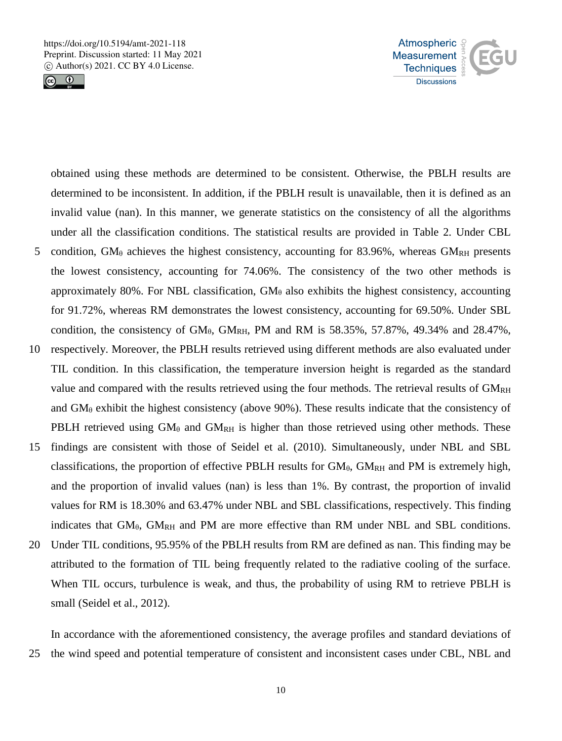



obtained using these methods are determined to be consistent. Otherwise, the PBLH results are determined to be inconsistent. In addition, if the PBLH result is unavailable, then it is defined as an invalid value (nan). In this manner, we generate statistics on the consistency of all the algorithms under all the classification conditions. The statistical results are provided in Table 2. Under CBL 5 condition,  $GM_\theta$  achieves the highest consistency, accounting for 83.96%, whereas  $GM_{\text{RH}}$  presents the lowest consistency, accounting for 74.06%. The consistency of the two other methods is approximately 80%. For NBL classification,  $GM_\theta$  also exhibits the highest consistency, accounting for 91.72%, whereas RM demonstrates the lowest consistency, accounting for 69.50%. Under SBL condition, the consistency of  $GM_{\theta}$ ,  $GM_{RH}$ , PM and RM is 58.35%, 57.87%, 49.34% and 28.47%,

- 10 respectively. Moreover, the PBLH results retrieved using different methods are also evaluated under TIL condition. In this classification, the temperature inversion height is regarded as the standard value and compared with the results retrieved using the four methods. The retrieval results of  $GM_{RH}$ and  $GM_\theta$  exhibit the highest consistency (above 90%). These results indicate that the consistency of PBLH retrieved using  $GM_{\theta}$  and  $GM_{RH}$  is higher than those retrieved using other methods. These
- 15 findings are consistent with those of Seidel et al. (2010). Simultaneously, under NBL and SBL classifications, the proportion of effective PBLH results for  $GM_{\theta}$ ,  $GM_{RH}$  and PM is extremely high, and the proportion of invalid values (nan) is less than 1%. By contrast, the proportion of invalid values for RM is 18.30% and 63.47% under NBL and SBL classifications, respectively. This finding indicates that  $GM_{\theta}$ ,  $GM_{RH}$  and PM are more effective than RM under NBL and SBL conditions.
- 20 Under TIL conditions, 95.95% of the PBLH results from RM are defined as nan. This finding may be attributed to the formation of TIL being frequently related to the radiative cooling of the surface. When TIL occurs, turbulence is weak, and thus, the probability of using RM to retrieve PBLH is small (Seidel et al., 2012).

In accordance with the aforementioned consistency, the average profiles and standard deviations of 25 the wind speed and potential temperature of consistent and inconsistent cases under CBL, NBL and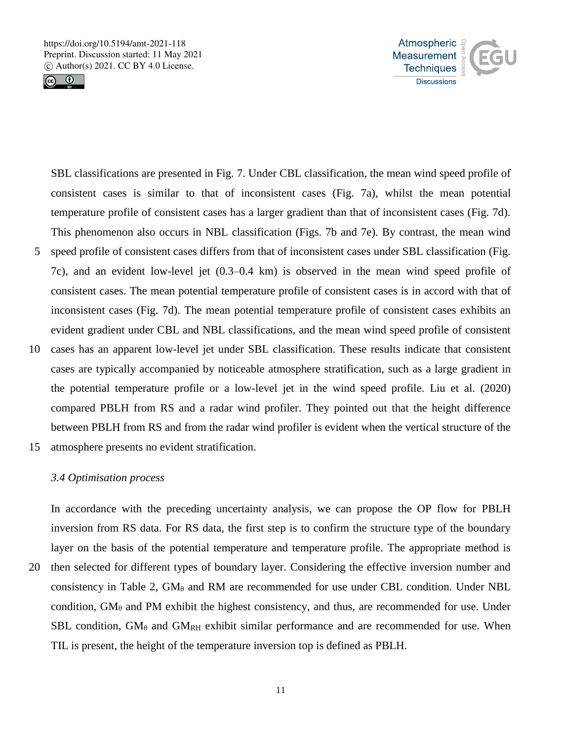



SBL classifications are presented in Fig. 7. Under CBL classification, the mean wind speed profile of consistent cases is similar to that of inconsistent cases (Fig. 7a), whilst the mean potential temperature profile of consistent cases has a larger gradient than that of inconsistent cases (Fig. 7d). This phenomenon also occurs in NBL classification (Figs. 7b and 7e). By contrast, the mean wind 5 speed profile of consistent cases differs from that of inconsistent cases under SBL classification (Fig. 7c), and an evident low-level jet (0.3–0.4 km) is observed in the mean wind speed profile of consistent cases. The mean potential temperature profile of consistent cases is in accord with that of inconsistent cases (Fig. 7d). The mean potential temperature profile of consistent cases exhibits an evident gradient under CBL and NBL classifications, and the mean wind speed profile of consistent

- 10 cases has an apparent low-level jet under SBL classification. These results indicate that consistent cases are typically accompanied by noticeable atmosphere stratification, such as a large gradient in the potential temperature profile or a low-level jet in the wind speed profile. Liu et al. (2020) compared PBLH from RS and a radar wind profiler. They pointed out that the height difference between PBLH from RS and from the radar wind profiler is evident when the vertical structure of the
- 15 atmosphere presents no evident stratification.

## *3.4 Optimisation process*

In accordance with the preceding uncertainty analysis, we can propose the OP flow for PBLH inversion from RS data. For RS data, the first step is to confirm the structure type of the boundary layer on the basis of the potential temperature and temperature profile. The appropriate method is 20 then selected for different types of boundary layer. Considering the effective inversion number and consistency in Table 2,  $GM_\theta$  and RM are recommended for use under CBL condition. Under NBL condition,  $GM_\theta$  and PM exhibit the highest consistency, and thus, are recommended for use. Under SBL condition,  $GM_\theta$  and  $GM_{RH}$  exhibit similar performance and are recommended for use. When TIL is present, the height of the temperature inversion top is defined as PBLH.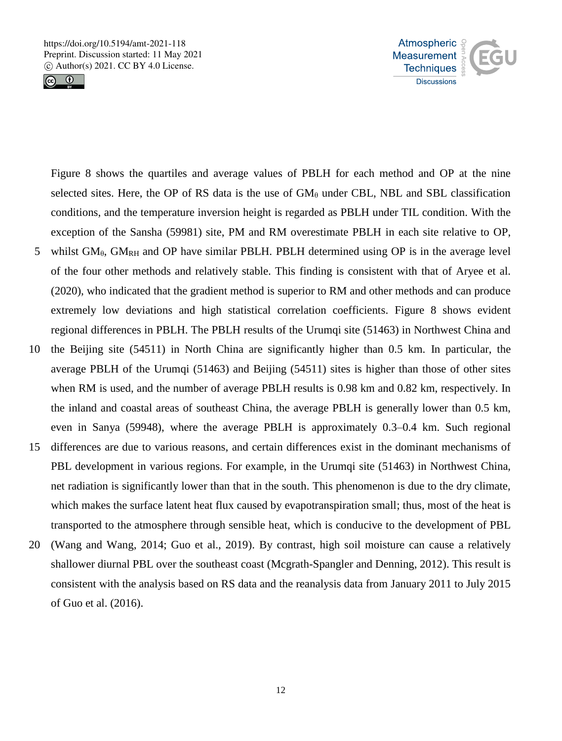



Figure 8 shows the quartiles and average values of PBLH for each method and OP at the nine selected sites. Here, the OP of RS data is the use of  $GM<sub>θ</sub>$  under CBL, NBL and SBL classification conditions, and the temperature inversion height is regarded as PBLH under TIL condition. With the exception of the Sansha (59981) site, PM and RM overestimate PBLH in each site relative to OP,

- 5 whilst  $GM_{\theta}$ ,  $GM_{RH}$  and OP have similar PBLH. PBLH determined using OP is in the average level of the four other methods and relatively stable. This finding is consistent with that of Aryee et al. (2020), who indicated that the gradient method is superior to RM and other methods and can produce extremely low deviations and high statistical correlation coefficients. Figure 8 shows evident regional differences in PBLH. The PBLH results of the Urumqi site (51463) in Northwest China and
- 10 the Beijing site (54511) in North China are significantly higher than 0.5 km. In particular, the average PBLH of the Urumqi (51463) and Beijing (54511) sites is higher than those of other sites when RM is used, and the number of average PBLH results is 0.98 km and 0.82 km, respectively. In the inland and coastal areas of southeast China, the average PBLH is generally lower than 0.5 km, even in Sanya (59948), where the average PBLH is approximately 0.3–0.4 km. Such regional
- 15 differences are due to various reasons, and certain differences exist in the dominant mechanisms of PBL development in various regions. For example, in the Urumqi site (51463) in Northwest China, net radiation is significantly lower than that in the south. This phenomenon is due to the dry climate, which makes the surface latent heat flux caused by evapotranspiration small; thus, most of the heat is transported to the atmosphere through sensible heat, which is conducive to the development of PBL
- 20 (Wang and Wang, 2014; Guo et al., 2019). By contrast, high soil moisture can cause a relatively shallower diurnal PBL over the southeast coast (Mcgrath-Spangler and Denning, 2012). This result is consistent with the analysis based on RS data and the reanalysis data from January 2011 to July 2015 of Guo et al. (2016).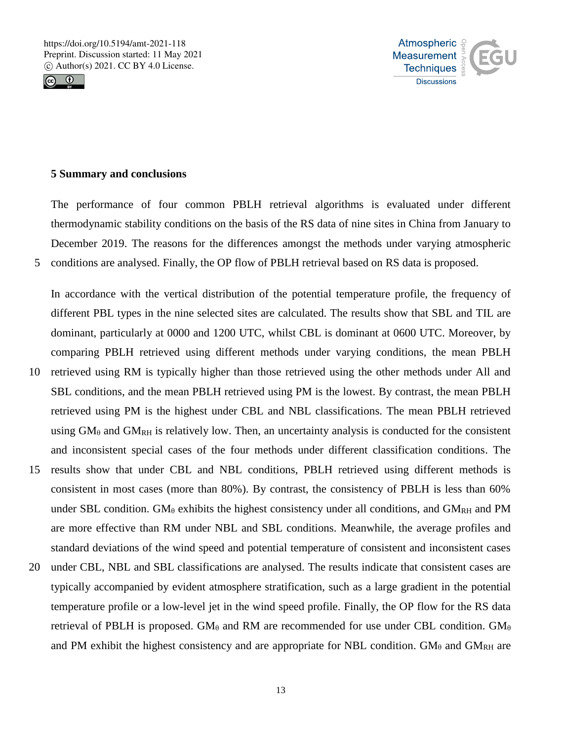



#### **5 Summary and conclusions**

The performance of four common PBLH retrieval algorithms is evaluated under different thermodynamic stability conditions on the basis of the RS data of nine sites in China from January to December 2019. The reasons for the differences amongst the methods under varying atmospheric 5 conditions are analysed. Finally, the OP flow of PBLH retrieval based on RS data is proposed.

In accordance with the vertical distribution of the potential temperature profile, the frequency of different PBL types in the nine selected sites are calculated. The results show that SBL and TIL are dominant, particularly at 0000 and 1200 UTC, whilst CBL is dominant at 0600 UTC. Moreover, by comparing PBLH retrieved using different methods under varying conditions, the mean PBLH

- 10 retrieved using RM is typically higher than those retrieved using the other methods under All and SBL conditions, and the mean PBLH retrieved using PM is the lowest. By contrast, the mean PBLH retrieved using PM is the highest under CBL and NBL classifications. The mean PBLH retrieved using  $GM_{\theta}$  and  $GM_{RH}$  is relatively low. Then, an uncertainty analysis is conducted for the consistent and inconsistent special cases of the four methods under different classification conditions. The
- 15 results show that under CBL and NBL conditions, PBLH retrieved using different methods is consistent in most cases (more than 80%). By contrast, the consistency of PBLH is less than 60% under SBL condition. GM $_{\theta}$  exhibits the highest consistency under all conditions, and GM<sub>RH</sub> and PM are more effective than RM under NBL and SBL conditions. Meanwhile, the average profiles and standard deviations of the wind speed and potential temperature of consistent and inconsistent cases
- 20 under CBL, NBL and SBL classifications are analysed. The results indicate that consistent cases are typically accompanied by evident atmosphere stratification, such as a large gradient in the potential temperature profile or a low-level jet in the wind speed profile. Finally, the OP flow for the RS data retrieval of PBLH is proposed. GM<sub> $\theta$ </sub> and RM are recommended for use under CBL condition. GM<sub> $\theta$ </sub> and PM exhibit the highest consistency and are appropriate for NBL condition.  $GM_\theta$  and  $GM_{RH}$  are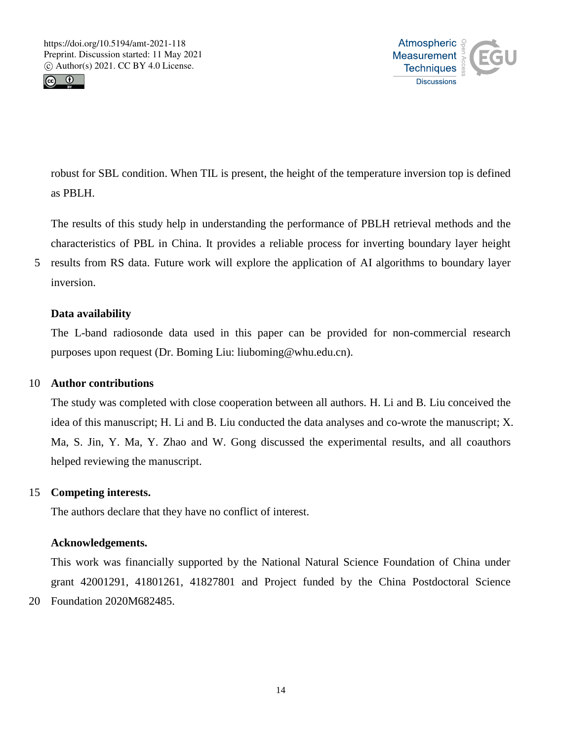



robust for SBL condition. When TIL is present, the height of the temperature inversion top is defined as PBLH.

The results of this study help in understanding the performance of PBLH retrieval methods and the characteristics of PBL in China. It provides a reliable process for inverting boundary layer height

5 results from RS data. Future work will explore the application of AI algorithms to boundary layer inversion.

# **Data availability**

The L-band radiosonde data used in this paper can be provided for non-commercial research purposes upon request (Dr. Boming Liu: liuboming@whu.edu.cn).

## 10 **Author contributions**

The study was completed with close cooperation between all authors. H. Li and B. Liu conceived the idea of this manuscript; H. Li and B. Liu conducted the data analyses and co-wrote the manuscript; X. Ma, S. Jin, Y. Ma, Y. Zhao and W. Gong discussed the experimental results, and all coauthors helped reviewing the manuscript.

#### 15 **Competing interests.**

The authors declare that they have no conflict of interest.

#### **Acknowledgements.**

This work was financially supported by the National Natural Science Foundation of China under grant 42001291, 41801261, 41827801 and Project funded by the China Postdoctoral Science 20 Foundation 2020M682485.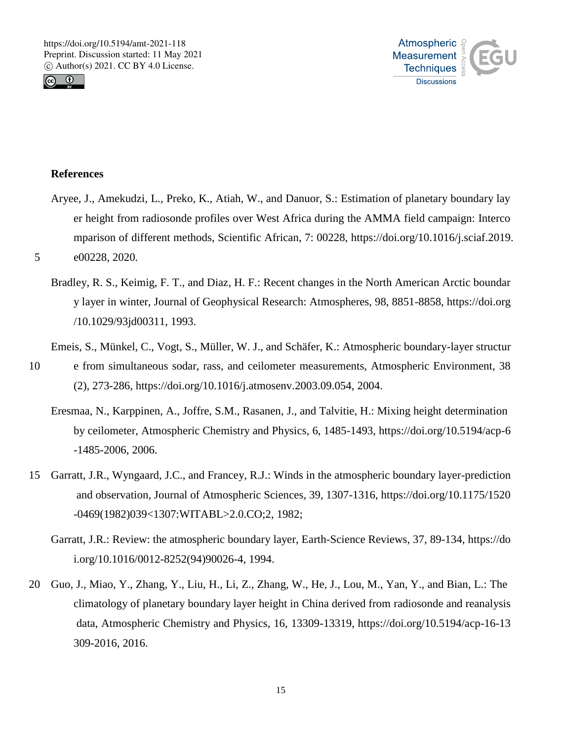



#### **References**

- Aryee, J., Amekudzi, L., Preko, K., Atiah, W., and Danuor, S.: Estimation of planetary boundary lay er height from radiosonde profiles over West Africa during the AMMA field campaign: Interco mparison of different methods, Scientific African, 7: 00228, https://doi.org/10.1016/j.sciaf.2019. 5 e00228, 2020.
	- Bradley, R. S., Keimig, F. T., and Diaz, H. F.: Recent changes in the North American Arctic boundar y layer in winter, Journal of Geophysical Research: Atmospheres, 98, 8851-8858, https://doi.org /10.1029/93jd00311, 1993.
	- Emeis, S., Münkel, C., Vogt, S., Müller, W. J., and Schäfer, K.: Atmospheric boundary-layer structur
- 10 e from simultaneous sodar, rass, and ceilometer measurements, Atmospheric Environment, 38 (2), 273-286, https://doi.org/10.1016/j.atmosenv.2003.09.054, 2004.
	- Eresmaa, N., Karppinen, A., Joffre, S.M., Rasanen, J., and Talvitie, H.: Mixing height determination by ceilometer, Atmospheric Chemistry and Physics, 6, 1485-1493, https://doi.org/10.5194/acp-6 -1485-2006, 2006.
- 15 Garratt, J.R., Wyngaard, J.C., and Francey, R.J.: Winds in the atmospheric boundary layer-prediction and observation, Journal of Atmospheric Sciences, 39, 1307-1316, https://doi.org/10.1175/1520 -0469(1982)039<1307:WITABL>2.0.CO;2, 1982;
	- Garratt, J.R.: Review: the atmospheric boundary layer, Earth-Science Reviews, 37, 89-134, https://do i.org/10.1016/0012-8252(94)90026-4, 1994.
- 20 Guo, J., Miao, Y., Zhang, Y., Liu, H., Li, Z., Zhang, W., He, J., Lou, M., Yan, Y., and Bian, L.: The climatology of planetary boundary layer height in China derived from radiosonde and reanalysis data, Atmospheric Chemistry and Physics, 16, 13309-13319, https://doi.org/10.5194/acp-16-13 309-2016, 2016.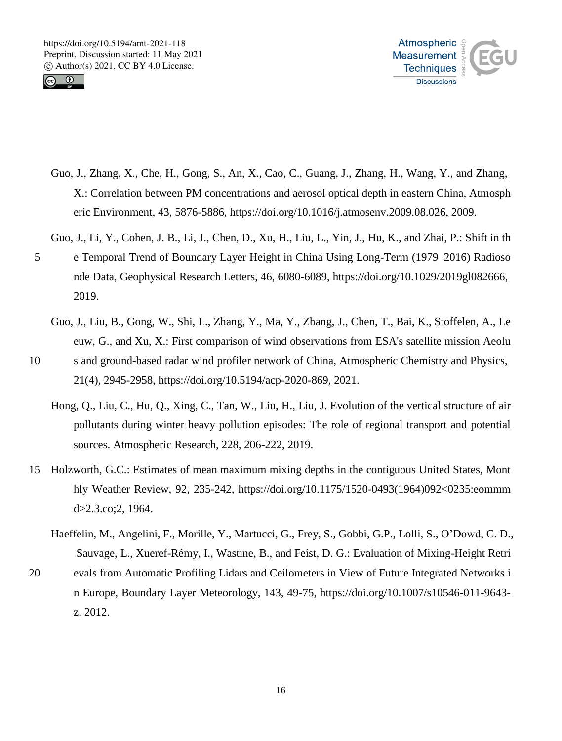



- Guo, J., Zhang, X., Che, H., Gong, S., An, X., Cao, C., Guang, J., Zhang, H., Wang, Y., and Zhang, X.: Correlation between PM concentrations and aerosol optical depth in eastern China, Atmosph eric Environment, 43, 5876-5886, https://doi.org/10.1016/j.atmosenv.2009.08.026, 2009.
- Guo, J., Li, Y., Cohen, J. B., Li, J., Chen, D., Xu, H., Liu, L., Yin, J., Hu, K., and Zhai, P.: Shift in th 5 e Temporal Trend of Boundary Layer Height in China Using Long‐Term (1979–2016) Radioso nde Data, Geophysical Research Letters, 46, 6080-6089, https://doi.org/10.1029/2019gl082666, 2019.
	- Guo, J., Liu, B., Gong, W., Shi, L., Zhang, Y., Ma, Y., Zhang, J., Chen, T., Bai, K., Stoffelen, A., Le euw, G., and Xu, X.: First comparison of wind observations from ESA's satellite mission Aeolu
- 10 s and ground-based radar wind profiler network of China, Atmospheric Chemistry and Physics, 21(4), 2945-2958, https://doi.org/10.5194/acp-2020-869, 2021.
	- Hong, Q., Liu, C., Hu, Q., Xing, C., Tan, W., Liu, H., Liu, J. Evolution of the vertical structure of air pollutants during winter heavy pollution episodes: The role of regional transport and potential sources. Atmospheric Research, 228, 206-222, 2019.
- 15 Holzworth, G.C.: Estimates of mean maximum mixing depths in the contiguous United States, Mont hly Weather Review, 92, 235-242, https://doi.org/10.1175/1520-0493(1964)092<0235:eommm d>2.3.co;2, 1964.
	- Haeffelin, M., Angelini, F., Morille, Y., Martucci, G., Frey, S., Gobbi, G.P., Lolli, S., O'Dowd, C. D., Sauvage, L., Xueref-Rémy, I., Wastine, B., and Feist, D. G.: Evaluation of Mixing-Height Retri
- 20 evals from Automatic Profiling Lidars and Ceilometers in View of Future Integrated Networks i n Europe, Boundary Layer Meteorology, 143, 49-75, https://doi.org/10.1007/s10546-011-9643 z, 2012.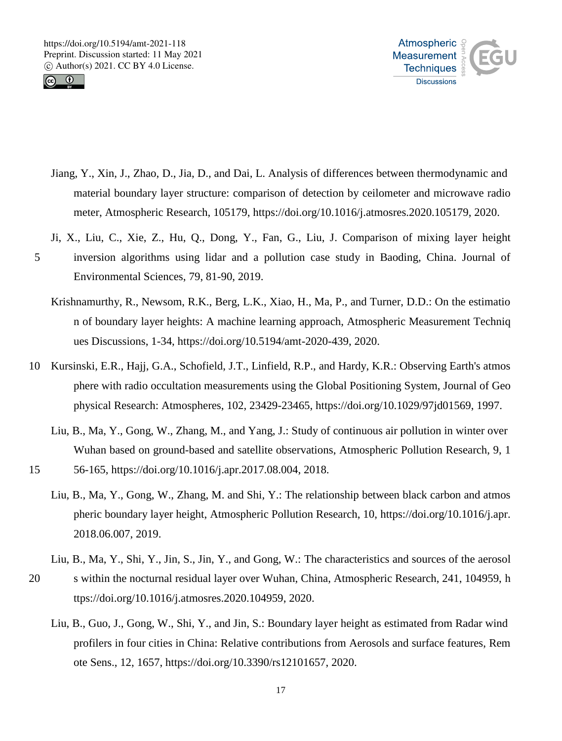



- Jiang, Y., Xin, J., Zhao, D., Jia, D., and Dai, L. Analysis of differences between thermodynamic and material boundary layer structure: comparison of detection by ceilometer and microwave radio meter, Atmospheric Research, 105179, https://doi.org/10.1016/j.atmosres.2020.105179, 2020.
- Ji, X., Liu, C., Xie, Z., Hu, Q., Dong, Y., Fan, G., Liu, J. Comparison of mixing layer height 5 inversion algorithms using lidar and a pollution case study in Baoding, China. Journal of Environmental Sciences, 79, 81-90, 2019.
	- Krishnamurthy, R., Newsom, R.K., Berg, L.K., Xiao, H., Ma, P., and Turner, D.D.: On the estimatio n of boundary layer heights: A machine learning approach, Atmospheric Measurement Techniq ues Discussions, 1-34, https://doi.org/10.5194/amt-2020-439, 2020.
- 10 Kursinski, E.R., Hajj, G.A., Schofield, J.T., Linfield, R.P., and Hardy, K.R.: Observing Earth's atmos phere with radio occultation measurements using the Global Positioning System, Journal of Geo physical Research: Atmospheres, 102, 23429-23465, https://doi.org/10.1029/97jd01569, 1997.
	- Liu, B., Ma, Y., Gong, W., Zhang, M., and Yang, J.: Study of continuous air pollution in winter over Wuhan based on ground-based and satellite observations, Atmospheric Pollution Research, 9, 1
- 15 56-165, https://doi.org/10.1016/j.apr.2017.08.004, 2018.
	- Liu, B., Ma, Y., Gong, W., Zhang, M. and Shi, Y.: The relationship between black carbon and atmos pheric boundary layer height, Atmospheric Pollution Research, 10, https://doi.org/10.1016/j.apr. 2018.06.007, 2019.
- Liu, B., Ma, Y., Shi, Y., Jin, S., Jin, Y., and Gong, W.: The characteristics and sources of the aerosol 20 s within the nocturnal residual layer over Wuhan, China, Atmospheric Research, 241, 104959, h ttps://doi.org/10.1016/j.atmosres.2020.104959, 2020.
	- Liu, B., Guo, J., Gong, W., Shi, Y., and Jin, S.: Boundary layer height as estimated from Radar wind profilers in four cities in China: Relative contributions from Aerosols and surface features, Rem ote Sens., 12, 1657, https://doi.org/10.3390/rs12101657, 2020.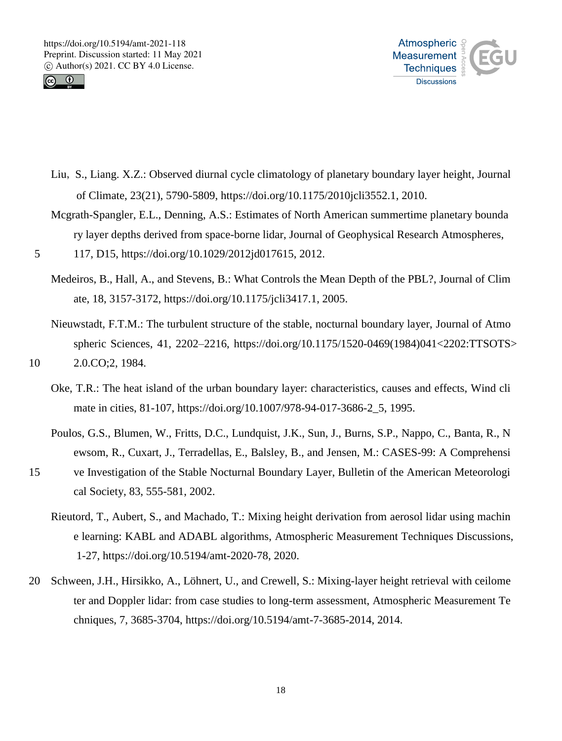



- Liu, S., Liang. X.Z.: Observed diurnal cycle climatology of planetary boundary layer height, Journal of Climate, 23(21), 5790-5809, https://doi.org/10.1175/2010jcli3552.1, 2010.
- Mcgrath-Spangler, E.L., Denning, A.S.: Estimates of North American summertime planetary bounda ry layer depths derived from space-borne lidar, Journal of Geophysical Research Atmospheres,
- 5 117, D15, https://doi.org/10.1029/2012jd017615, 2012.
	- Medeiros, B., Hall, A., and Stevens, B.: What Controls the Mean Depth of the PBL?, Journal of Clim ate, 18, 3157-3172, https://doi.org/10.1175/jcli3417.1, 2005.
- Nieuwstadt, F.T.M.: The turbulent structure of the stable, nocturnal boundary layer, Journal of Atmo spheric Sciences, 41, 2202–2216, https://doi.org/10.1175/1520-0469(1984)041<2202:TTSOTS> 10 2.0.CO;2, 1984.
	- Oke, T.R.: The heat island of the urban boundary layer: characteristics, causes and effects, Wind cli mate in cities, 81-107, https://doi.org/10.1007/978-94-017-3686-2\_5, 1995.
	- Poulos, G.S., Blumen, W., Fritts, D.C., Lundquist, J.K., Sun, J., Burns, S.P., Nappo, C., Banta, R., N ewsom, R., Cuxart, J., Terradellas, E., Balsley, B., and Jensen, M.: CASES-99: A Comprehensi
- 15 ve Investigation of the Stable Nocturnal Boundary Layer, Bulletin of the American Meteorologi cal Society, 83, 555-581, 2002.
	- Rieutord, T., Aubert, S., and Machado, T.: Mixing height derivation from aerosol lidar using machin e learning: KABL and ADABL algorithms, Atmospheric Measurement Techniques Discussions, 1-27, https://doi.org/10.5194/amt-2020-78, 2020.
- 20 Schween, J.H., Hirsikko, A., Löhnert, U., and Crewell, S.: Mixing-layer height retrieval with ceilome ter and Doppler lidar: from case studies to long-term assessment, Atmospheric Measurement Te chniques, 7, 3685-3704, https://doi.org/10.5194/amt-7-3685-2014, 2014.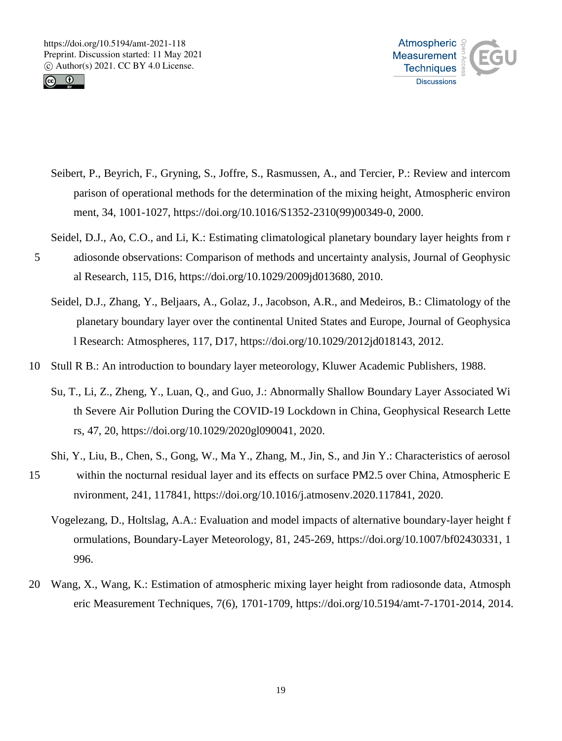



- Seibert, P., Beyrich, F., Gryning, S., Joffre, S., Rasmussen, A., and Tercier, P.: Review and intercom parison of operational methods for the determination of the mixing height, Atmospheric environ ment, 34, 1001-1027, https://doi.org/10.1016/S1352-2310(99)00349-0, 2000.
- Seidel, D.J., Ao, C.O., and Li, K.: Estimating climatological planetary boundary layer heights from r
- 5 adiosonde observations: Comparison of methods and uncertainty analysis, Journal of Geophysic al Research, 115, D16, https://doi.org/10.1029/2009jd013680, 2010.
	- Seidel, D.J., Zhang, Y., Beljaars, A., Golaz, J., Jacobson, A.R., and Medeiros, B.: Climatology of the planetary boundary layer over the continental United States and Europe, Journal of Geophysica l Research: Atmospheres, 117, D17, https://doi.org/10.1029/2012jd018143, 2012.
- 10 Stull R B.: An introduction to boundary layer meteorology, Kluwer Academic Publishers, 1988.
	- Su, T., Li, Z., Zheng, Y., Luan, Q., and Guo, J.: Abnormally Shallow Boundary Layer Associated Wi th Severe Air Pollution During the COVID‐19 Lockdown in China, Geophysical Research Lette rs, 47, 20, https://doi.org/10.1029/2020gl090041, 2020.
	- Shi, Y., Liu, B., Chen, S., Gong, W., Ma Y., Zhang, M., Jin, S., and Jin Y.: Characteristics of aerosol
- 15 within the nocturnal residual layer and its effects on surface PM2.5 over China, Atmospheric E nvironment, 241, 117841, https://doi.org/10.1016/j.atmosenv.2020.117841, 2020.
	- Vogelezang, D., Holtslag, A.A.: Evaluation and model impacts of alternative boundary-layer height f ormulations, Boundary-Layer Meteorology, 81, 245-269, https://doi.org/10.1007/bf02430331, 1 996.
- 20 Wang, X., Wang, K.: Estimation of atmospheric mixing layer height from radiosonde data, Atmosph eric Measurement Techniques, 7(6), 1701-1709, https://doi.org/10.5194/amt-7-1701-2014, 2014.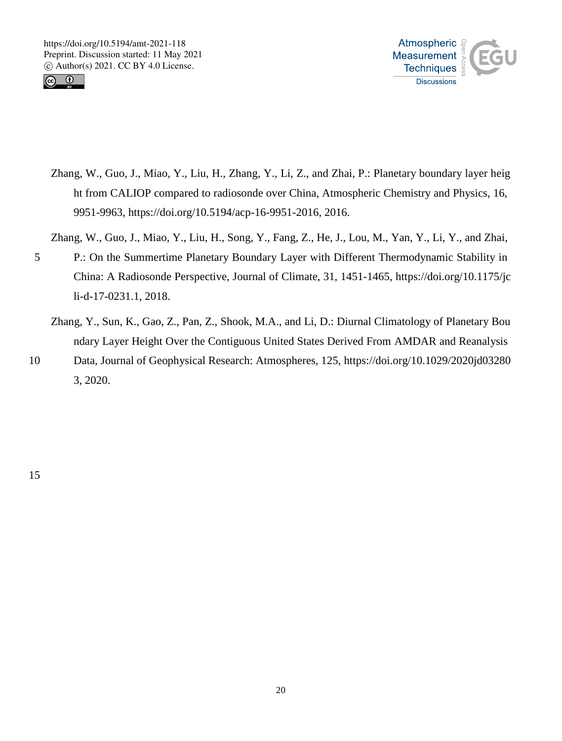



Zhang, W., Guo, J., Miao, Y., Liu, H., Zhang, Y., Li, Z., and Zhai, P.: Planetary boundary layer heig ht from CALIOP compared to radiosonde over China, Atmospheric Chemistry and Physics, 16, 9951-9963, https://doi.org/10.5194/acp-16-9951-2016, 2016.

Zhang, W., Guo, J., Miao, Y., Liu, H., Song, Y., Fang, Z., He, J., Lou, M., Yan, Y., Li, Y., and Zhai,

- 5 P.: On the Summertime Planetary Boundary Layer with Different Thermodynamic Stability in China: A Radiosonde Perspective, Journal of Climate, 31, 1451-1465, https://doi.org/10.1175/jc li-d-17-0231.1, 2018.
	- Zhang, Y., Sun, K., Gao, Z., Pan, Z., Shook, M.A., and Li, D.: Diurnal Climatology of Planetary Bou ndary Layer Height Over the Contiguous United States Derived From AMDAR and Reanalysis
- 10 Data, Journal of Geophysical Research: Atmospheres, 125, https://doi.org/10.1029/2020jd03280 3, 2020.

15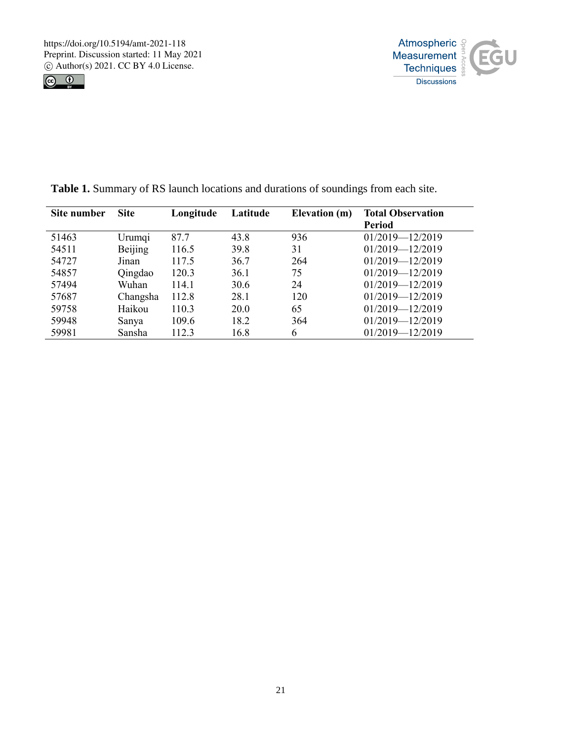



| Site number | <b>Site</b> | Longitude | Latitude | Elevation (m) | <b>Total Observation</b> |
|-------------|-------------|-----------|----------|---------------|--------------------------|
|             |             |           |          |               | <b>Period</b>            |
| 51463       | Urumqi      | 87.7      | 43.8     | 936           | 01/2019-12/2019          |
| 54511       | Beijing     | 116.5     | 39.8     | 31            | $01/2019 - 12/2019$      |
| 54727       | Jinan       | 117.5     | 36.7     | 264           | $01/2019 - 12/2019$      |
| 54857       | Qingdao     | 120.3     | 36.1     | 75            | $01/2019 - 12/2019$      |
| 57494       | Wuhan       | 114.1     | 30.6     | 24            | $01/2019 - 12/2019$      |
| 57687       | Changsha    | 112.8     | 28.1     | 120           | $01/2019 - 12/2019$      |
| 59758       | Haikou      | 110.3     | 20.0     | 65            | 01/2019-12/2019          |
| 59948       | Sanya       | 109.6     | 18.2     | 364           | 01/2019-12/2019          |
| 59981       | Sansha      | 112.3     | 16.8     | 6             | 01/2019-12/2019          |

**Table 1.** Summary of RS launch locations and durations of soundings from each site.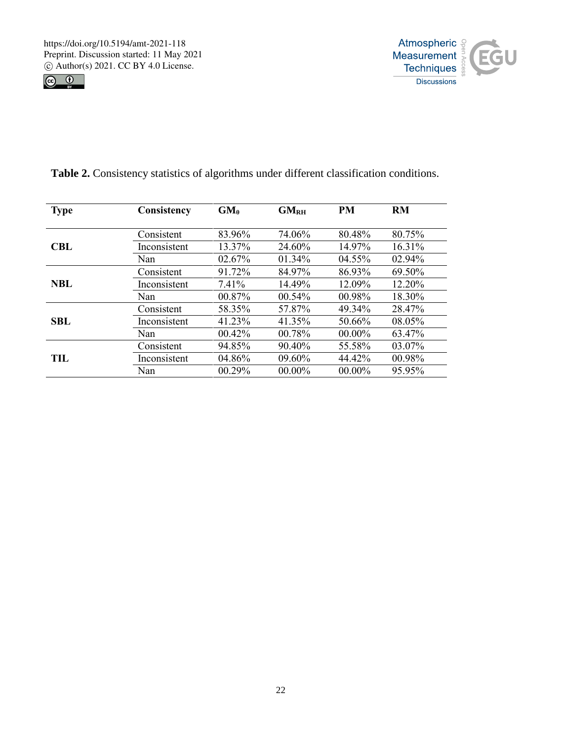



| <b>Type</b> | Consistency  | $GM_{\theta}$ | GM <sub>RH</sub> | <b>PM</b> | <b>RM</b> |
|-------------|--------------|---------------|------------------|-----------|-----------|
|             | Consistent   | 83.96%        | 74.06%           | 80.48%    | 80.75%    |
| CBL         | Inconsistent | 13.37%        | 24.60%           | 14.97%    | 16.31%    |
|             | Nan          | 02.67%        | $01.34\%$        | 04.55%    | 02.94%    |
| <b>NBL</b>  | Consistent   | 91.72%        | 84.97%           | 86.93%    | 69.50%    |
|             | Inconsistent | 7.41%         | 14.49%           | 12.09%    | 12.20%    |
|             | Nan          | 00.87%        | 00.54%           | 00.98%    | 18.30%    |
| <b>SBL</b>  | Consistent   | 58.35%        | 57.87%           | 49.34%    | 28.47%    |
|             | Inconsistent | 41.23%        | 41.35%           | 50.66%    | 08.05%    |
|             | Nan          | 00.42%        | 00.78%           | 00.00%    | 63.47%    |
| TH .        | Consistent   | 94.85%        | $90.40\%$        | 55.58%    | 03.07%    |
|             | Inconsistent | 04.86%        | $09.60\%$        | 44.42%    | 00.98%    |
|             | Nan          | 00.29%        | $00.00\%$        | $00.00\%$ | 95.95%    |

**Table 2.** Consistency statistics of algorithms under different classification conditions.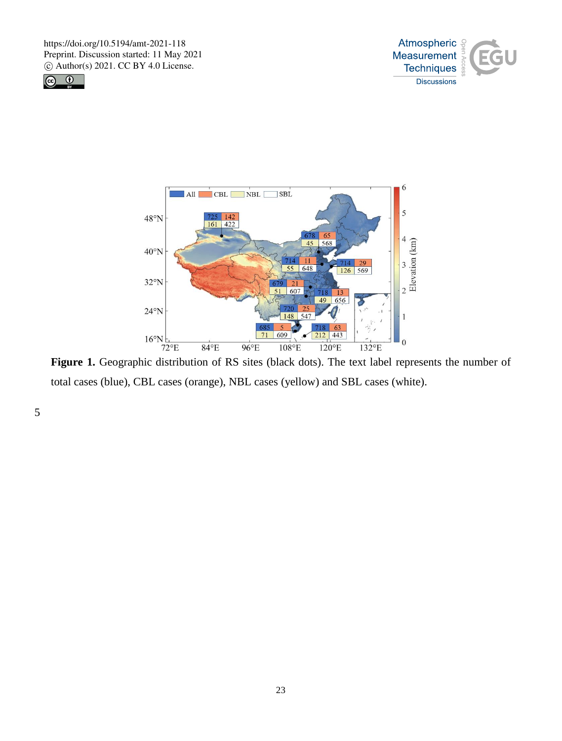





total cases (blue), CBL cases (orange), NBL cases (yellow) and SBL cases (white).

5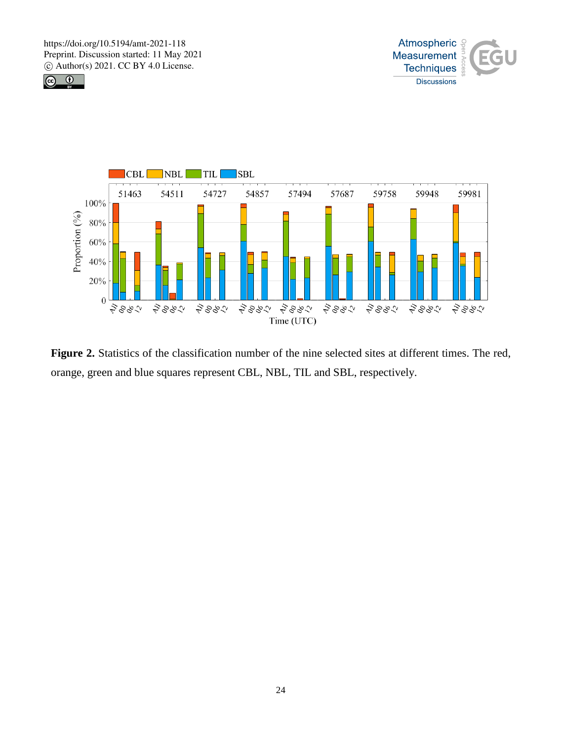





**Figure 2.** Statistics of the classification number of the nine selected sites at different times. The red, orange, green and blue squares represent CBL, NBL, TIL and SBL, respectively.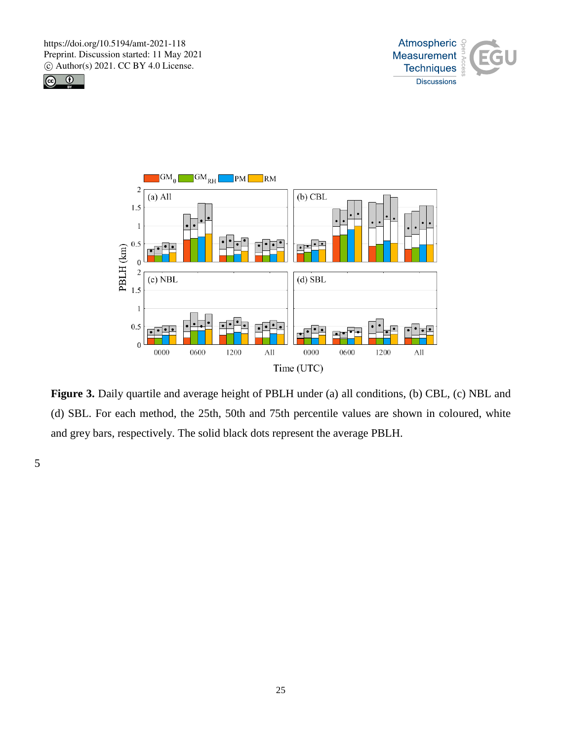





**Figure 3.** Daily quartile and average height of PBLH under (a) all conditions, (b) CBL, (c) NBL and (d) SBL. For each method, the 25th, 50th and 75th percentile values are shown in coloured, white and grey bars, respectively. The solid black dots represent the average PBLH.

5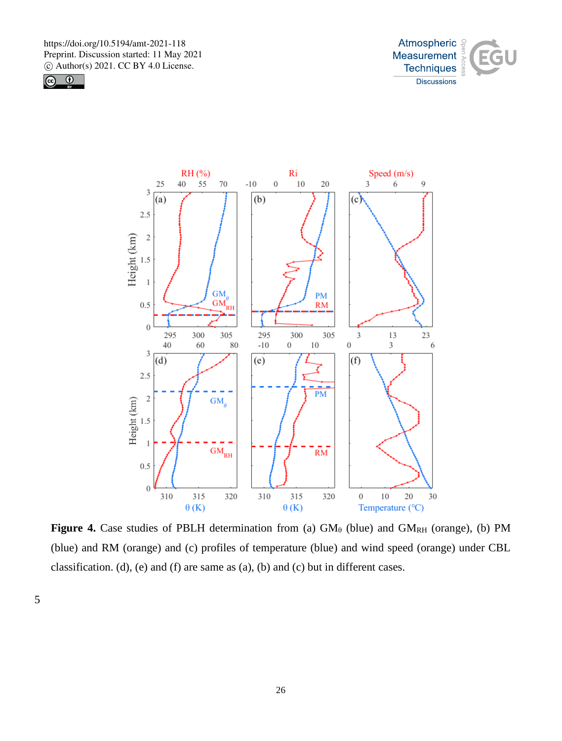





**Figure 4.** Case studies of PBLH determination from (a)  $GM_\theta$  (blue) and  $GM_{RH}$  (orange), (b) PM (blue) and RM (orange) and (c) profiles of temperature (blue) and wind speed (orange) under CBL classification. (d), (e) and (f) are same as (a), (b) and (c) but in different cases.

5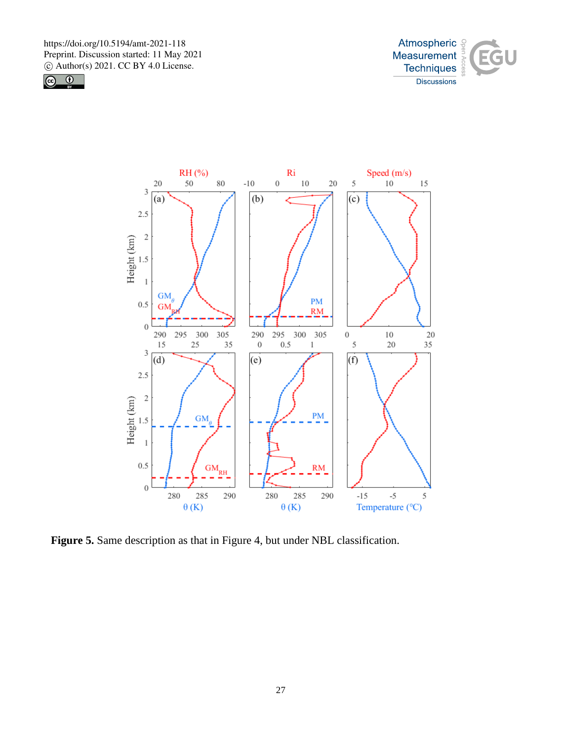





**Figure 5.** Same description as that in Figure 4, but under NBL classification.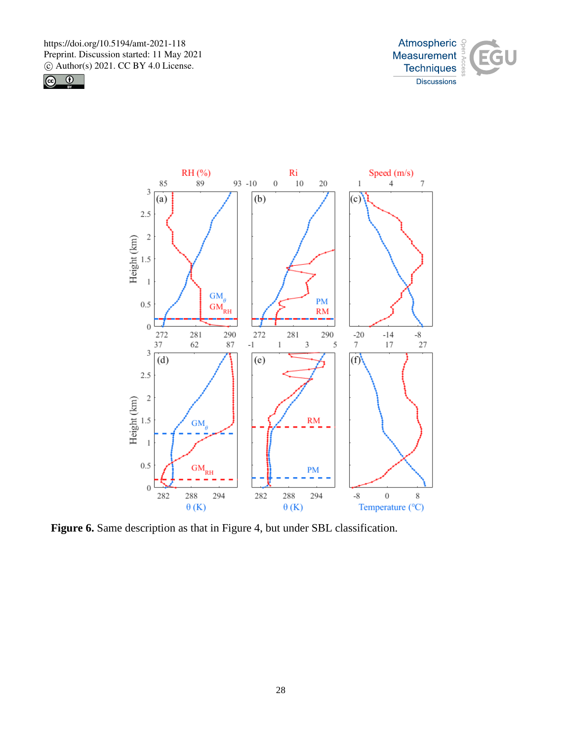





Figure 6. Same description as that in Figure 4, but under SBL classification.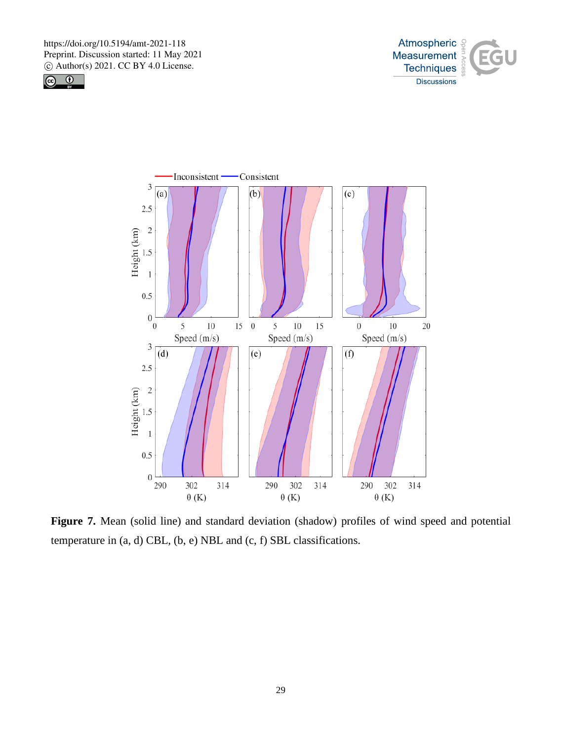





**Figure 7.** Mean (solid line) and standard deviation (shadow) profiles of wind speed and potential temperature in (a, d) CBL, (b, e) NBL and (c, f) SBL classifications.